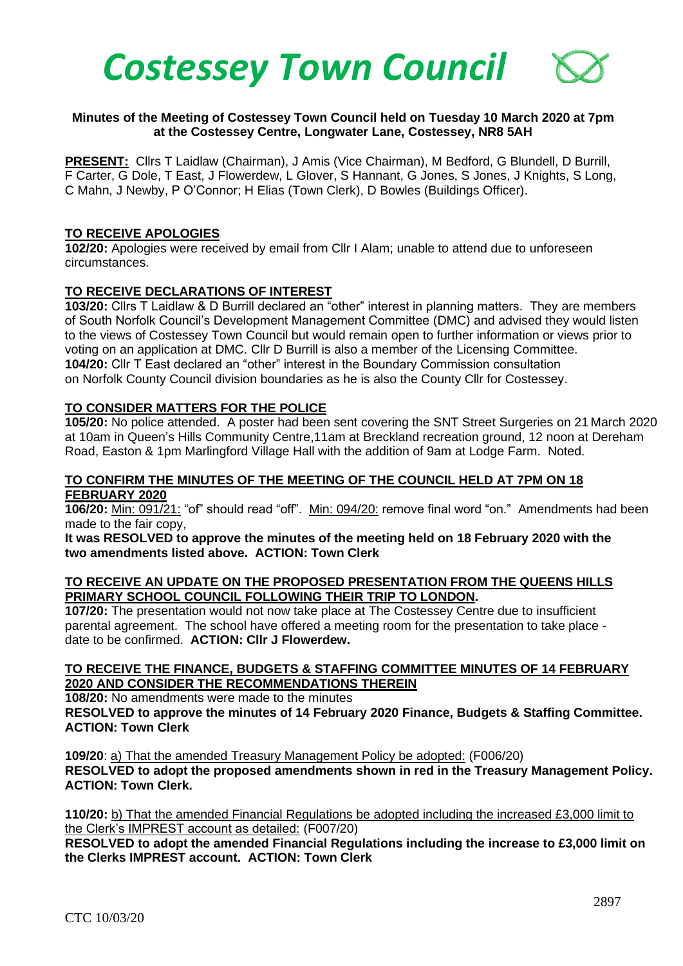

## **Minutes of the Meeting of Costessey Town Council held on Tuesday 10 March 2020 at 7pm at the Costessey Centre, Longwater Lane, Costessey, NR8 5AH**

**PRESENT:** Cllrs T Laidlaw (Chairman), J Amis (Vice Chairman), M Bedford, G Blundell, D Burrill, F Carter, G Dole, T East, J Flowerdew, L Glover, S Hannant, G Jones, S Jones, J Knights, S Long, C Mahn, J Newby, P O'Connor; H Elias (Town Clerk), D Bowles (Buildings Officer).

#### **TO RECEIVE APOLOGIES**

**102/20:** Apologies were received by email from Cllr I Alam; unable to attend due to unforeseen circumstances.

#### **TO RECEIVE DECLARATIONS OF INTEREST**

**103/20:** Cllrs T Laidlaw & D Burrill declared an "other" interest in planning matters. They are members of South Norfolk Council's Development Management Committee (DMC) and advised they would listen to the views of Costessey Town Council but would remain open to further information or views prior to voting on an application at DMC. Cllr D Burrill is also a member of the Licensing Committee. **104/20:** Cllr T East declared an "other" interest in the Boundary Commission consultation on Norfolk County Council division boundaries as he is also the County Cllr for Costessey.

## **TO CONSIDER MATTERS FOR THE POLICE**

**105/20:** No police attended. A poster had been sent covering the SNT Street Surgeries on 21 March 2020 at 10am in Queen's Hills Community Centre,11am at Breckland recreation ground, 12 noon at Dereham Road, Easton & 1pm Marlingford Village Hall with the addition of 9am at Lodge Farm. Noted.

#### **TO CONFIRM THE MINUTES OF THE MEETING OF THE COUNCIL HELD AT 7PM ON 18 FEBRUARY 2020**

**106/20:** Min: 091/21: "of" should read "off". Min: 094/20: remove final word "on." Amendments had been made to the fair copy,

**It was RESOLVED to approve the minutes of the meeting held on 18 February 2020 with the two amendments listed above. ACTION: Town Clerk**

#### **TO RECEIVE AN UPDATE ON THE PROPOSED PRESENTATION FROM THE QUEENS HILLS PRIMARY SCHOOL COUNCIL FOLLOWING THEIR TRIP TO LONDON.**

**107/20:** The presentation would not now take place at The Costessey Centre due to insufficient parental agreement. The school have offered a meeting room for the presentation to take place date to be confirmed. **ACTION: Cllr J Flowerdew.**

#### **TO RECEIVE THE FINANCE, BUDGETS & STAFFING COMMITTEE MINUTES OF 14 FEBRUARY 2020 AND CONSIDER THE RECOMMENDATIONS THEREIN**

**108/20:** No amendments were made to the minutes **RESOLVED to approve the minutes of 14 February 2020 Finance, Budgets & Staffing Committee. ACTION: Town Clerk**

**109/20**: a) That the amended Treasury Management Policy be adopted: (F006/20) **RESOLVED to adopt the proposed amendments shown in red in the Treasury Management Policy. ACTION: Town Clerk.**

**110/20:** b) That the amended Financial Regulations be adopted including the increased £3,000 limit to the Clerk's IMPREST account as detailed: (F007/20)

**RESOLVED to adopt the amended Financial Regulations including the increase to £3,000 limit on the Clerks IMPREST account. ACTION: Town Clerk**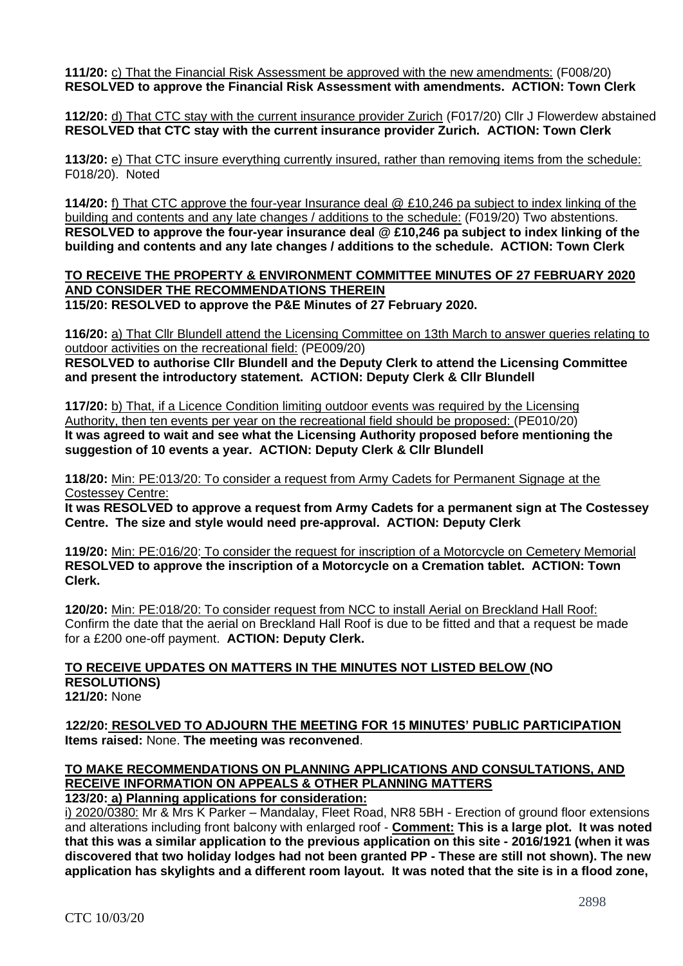**111/20:** c) That the Financial Risk Assessment be approved with the new amendments: (F008/20) **RESOLVED to approve the Financial Risk Assessment with amendments. ACTION: Town Clerk**

**112/20:** d) That CTC stay with the current insurance provider Zurich (F017/20) Cllr J Flowerdew abstained **RESOLVED that CTC stay with the current insurance provider Zurich. ACTION: Town Clerk**

**113/20:** e) That CTC insure everything currently insured, rather than removing items from the schedule: F018/20). Noted

**114/20:** f) That CTC approve the four-year Insurance deal @ £10,246 pa subject to index linking of the building and contents and any late changes / additions to the schedule: (F019/20) Two abstentions. **RESOLVED to approve the four-year insurance deal @ £10,246 pa subject to index linking of the building and contents and any late changes / additions to the schedule. ACTION: Town Clerk**

**TO RECEIVE THE PROPERTY & ENVIRONMENT COMMITTEE MINUTES OF 27 FEBRUARY 2020 AND CONSIDER THE RECOMMENDATIONS THEREIN 115/20: RESOLVED to approve the P&E Minutes of 27 February 2020.** 

**116/20:** a) That Cllr Blundell attend the Licensing Committee on 13th March to answer queries relating to outdoor activities on the recreational field: (PE009/20)

**RESOLVED to authorise Cllr Blundell and the Deputy Clerk to attend the Licensing Committee and present the introductory statement. ACTION: Deputy Clerk & Cllr Blundell** 

**117/20:** b) That, if a Licence Condition limiting outdoor events was required by the Licensing Authority, then ten events per year on the recreational field should be proposed: (PE010/20) **It was agreed to wait and see what the Licensing Authority proposed before mentioning the suggestion of 10 events a year. ACTION: Deputy Clerk & Cllr Blundell**

**118/20:** Min: PE:013/20: To consider a request from Army Cadets for Permanent Signage at the Costessey Centre:

**It was RESOLVED to approve a request from Army Cadets for a permanent sign at The Costessey Centre. The size and style would need pre-approval. ACTION: Deputy Clerk**

**119/20:** Min: PE:016/20: To consider the request for inscription of a Motorcycle on Cemetery Memorial **RESOLVED to approve the inscription of a Motorcycle on a Cremation tablet. ACTION: Town Clerk.**

**120/20:** Min: PE:018/20: To consider request from NCC to install Aerial on Breckland Hall Roof: Confirm the date that the aerial on Breckland Hall Roof is due to be fitted and that a request be made for a £200 one-off payment. **ACTION: Deputy Clerk.**

#### **TO RECEIVE UPDATES ON MATTERS IN THE MINUTES NOT LISTED BELOW (NO RESOLUTIONS) 121/20:** None

 **122/20: RESOLVED TO ADJOURN THE MEETING FOR 15 MINUTES' PUBLIC PARTICIPATION Items raised:** None. **The meeting was reconvened**.

# **TO MAKE RECOMMENDATIONS ON PLANNING APPLICATIONS AND CONSULTATIONS, AND RECEIVE INFORMATION ON APPEALS & OTHER PLANNING MATTERS**

**123/20: a) Planning applications for consideration:**

i) 2020/0380: Mr & Mrs K Parker – Mandalay, Fleet Road, NR8 5BH - Erection of ground floor extensions and alterations including front balcony with enlarged roof - **Comment: This is a large plot. It was noted that this was a similar application to the previous application on this site - 2016/1921 (when it was discovered that two holiday lodges had not been granted PP - These are still not shown). The new application has skylights and a different room layout. It was noted that the site is in a flood zone,**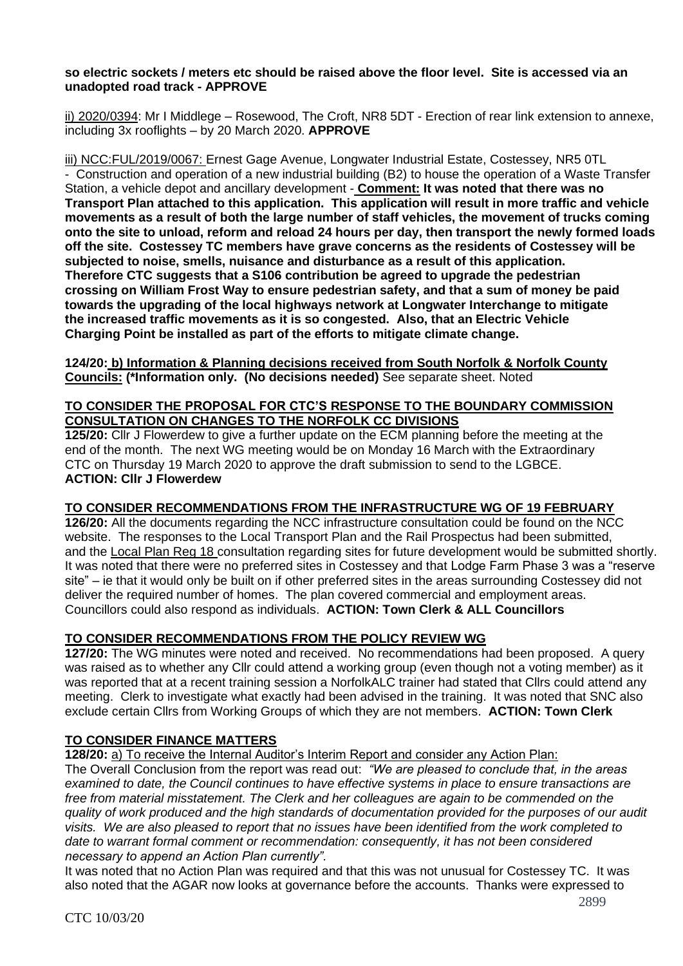#### **so electric sockets / meters etc should be raised above the floor level. Site is accessed via an unadopted road track - APPROVE**

ii) 2020/0394: Mr I Middlege – Rosewood, The Croft, NR8 5DT - Erection of rear link extension to annexe, including 3x rooflights – by 20 March 2020. **APPROVE**

iii) NCC:FUL/2019/0067: Ernest Gage Avenue, Longwater Industrial Estate, Costessey, NR5 0TL - Construction and operation of a new industrial building (B2) to house the operation of a Waste Transfer Station, a vehicle depot and ancillary development - **Comment: It was noted that there was no Transport Plan attached to this application. This application will result in more traffic and vehicle movements as a result of both the large number of staff vehicles, the movement of trucks coming onto the site to unload, reform and reload 24 hours per day, then transport the newly formed loads off the site. Costessey TC members have grave concerns as the residents of Costessey will be subjected to noise, smells, nuisance and disturbance as a result of this application. Therefore CTC suggests that a S106 contribution be agreed to upgrade the pedestrian crossing on William Frost Way to ensure pedestrian safety, and that a sum of money be paid towards the upgrading of the local highways network at Longwater Interchange to mitigate the increased traffic movements as it is so congested. Also, that an Electric Vehicle Charging Point be installed as part of the efforts to mitigate climate change.**

**124/20: b) Information & Planning decisions received from South Norfolk & Norfolk County Councils: (\*Information only. (No decisions needed)** See separate sheet. Noted

## **TO CONSIDER THE PROPOSAL FOR CTC'S RESPONSE TO THE BOUNDARY COMMISSION CONSULTATION ON CHANGES TO THE NORFOLK CC DIVISIONS**

**125/20:** Cllr J Flowerdew to give a further update on the ECM planning before the meeting at the end of the month. The next WG meeting would be on Monday 16 March with the Extraordinary CTC on Thursday 19 March 2020 to approve the draft submission to send to the LGBCE. **ACTION: Cllr J Flowerdew**

# **TO CONSIDER RECOMMENDATIONS FROM THE INFRASTRUCTURE WG OF 19 FEBRUARY**

**126/20:** All the documents regarding the NCC infrastructure consultation could be found on the NCC website. The responses to the Local Transport Plan and the Rail Prospectus had been submitted, and the Local Plan Reg 18 consultation regarding sites for future development would be submitted shortly. It was noted that there were no preferred sites in Costessey and that Lodge Farm Phase 3 was a "reserve site" – ie that it would only be built on if other preferred sites in the areas surrounding Costessey did not deliver the required number of homes. The plan covered commercial and employment areas. Councillors could also respond as individuals. **ACTION: Town Clerk & ALL Councillors**

# **TO CONSIDER RECOMMENDATIONS FROM THE POLICY REVIEW WG**

**127/20:** The WG minutes were noted and received. No recommendations had been proposed. A query was raised as to whether any Cllr could attend a working group (even though not a voting member) as it was reported that at a recent training session a NorfolkALC trainer had stated that Cllrs could attend any meeting. Clerk to investigate what exactly had been advised in the training. It was noted that SNC also exclude certain Cllrs from Working Groups of which they are not members. **ACTION: Town Clerk**

## **TO CONSIDER FINANCE MATTERS**

**128/20:** a) To receive the Internal Auditor's Interim Report and consider any Action Plan:

The Overall Conclusion from the report was read out: *"We are pleased to conclude that, in the areas examined to date, the Council continues to have effective systems in place to ensure transactions are free from material misstatement. The Clerk and her colleagues are again to be commended on the quality of work produced and the high standards of documentation provided for the purposes of our audit visits. We are also pleased to report that no issues have been identified from the work completed to date to warrant formal comment or recommendation: consequently, it has not been considered necessary to append an Action Plan currently".*

It was noted that no Action Plan was required and that this was not unusual for Costessey TC. It was also noted that the AGAR now looks at governance before the accounts. Thanks were expressed to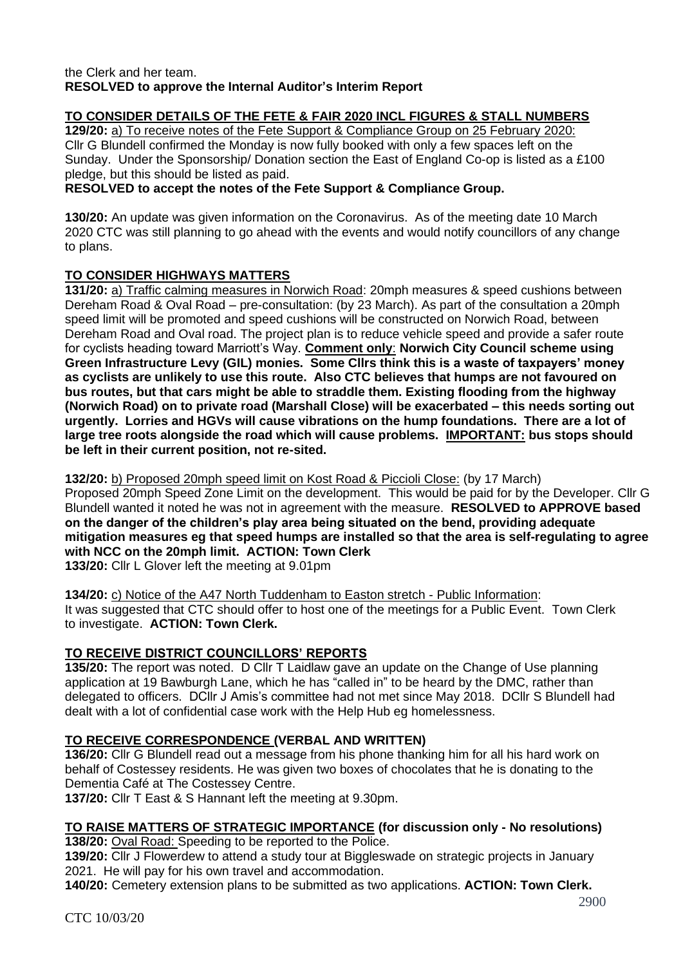## the Clerk and her team. **RESOLVED to approve the Internal Auditor's Interim Report**

# **TO CONSIDER DETAILS OF THE FETE & FAIR 2020 INCL FIGURES & STALL NUMBERS**

**129/20:** a) To receive notes of the Fete Support & Compliance Group on 25 February 2020: Cllr G Blundell confirmed the Monday is now fully booked with only a few spaces left on the Sunday. Under the Sponsorship/ Donation section the East of England Co-op is listed as a £100 pledge, but this should be listed as paid.

## **RESOLVED to accept the notes of the Fete Support & Compliance Group.**

**130/20:** An update was given information on the Coronavirus. As of the meeting date 10 March 2020 CTC was still planning to go ahead with the events and would notify councillors of any change to plans.

# **TO CONSIDER HIGHWAYS MATTERS**

**131/20:** a) Traffic calming measures in Norwich Road: 20mph measures & speed cushions between Dereham Road & Oval Road – pre-consultation: (by 23 March). As part of the consultation a 20mph speed limit will be promoted and speed cushions will be constructed on Norwich Road, between Dereham Road and Oval road. The project plan is to reduce vehicle speed and provide a safer route for cyclists heading toward Marriott's Way. **Comment only**: **Norwich City Council scheme using Green Infrastructure Levy (GIL) monies. Some Cllrs think this is a waste of taxpayers' money as cyclists are unlikely to use this route. Also CTC believes that humps are not favoured on bus routes, but that cars might be able to straddle them. Existing flooding from the highway (Norwich Road) on to private road (Marshall Close) will be exacerbated – this needs sorting out urgently. Lorries and HGVs will cause vibrations on the hump foundations. There are a lot of large tree roots alongside the road which will cause problems. IMPORTANT: bus stops should be left in their current position, not re-sited.**

**132/20:** b) Proposed 20mph speed limit on Kost Road & Piccioli Close: (by 17 March)

Proposed 20mph Speed Zone Limit on the development. This would be paid for by the Developer. Cllr G Blundell wanted it noted he was not in agreement with the measure. **RESOLVED to APPROVE based on the danger of the children's play area being situated on the bend, providing adequate mitigation measures eg that speed humps are installed so that the area is self-regulating to agree with NCC on the 20mph limit. ACTION: Town Clerk** 

**133/20:** Cllr L Glover left the meeting at 9.01pm

**134/20:** c) Notice of the A47 North Tuddenham to Easton stretch - Public Information: It was suggested that CTC should offer to host one of the meetings for a Public Event. Town Clerk to investigate. **ACTION: Town Clerk.** 

# **TO RECEIVE DISTRICT COUNCILLORS' REPORTS**

**135/20:** The report was noted. D Cllr T Laidlaw gave an update on the Change of Use planning application at 19 Bawburgh Lane, which he has "called in" to be heard by the DMC, rather than delegated to officers. DCllr J Amis's committee had not met since May 2018. DCllr S Blundell had dealt with a lot of confidential case work with the Help Hub eg homelessness.

## **TO RECEIVE CORRESPONDENCE (VERBAL AND WRITTEN)**

**136/20:** Cllr G Blundell read out a message from his phone thanking him for all his hard work on behalf of Costessey residents. He was given two boxes of chocolates that he is donating to the Dementia Café at The Costessey Centre.

**137/20:** Cllr T East & S Hannant left the meeting at 9.30pm.

### **TO RAISE MATTERS OF STRATEGIC IMPORTANCE (for discussion only - No resolutions) 138/20:** Oval Road: Speeding to be reported to the Police.

**139/20:** Cllr J Flowerdew to attend a study tour at Biggleswade on strategic projects in January 2021. He will pay for his own travel and accommodation.

**140/20:** Cemetery extension plans to be submitted as two applications. **ACTION: Town Clerk.**